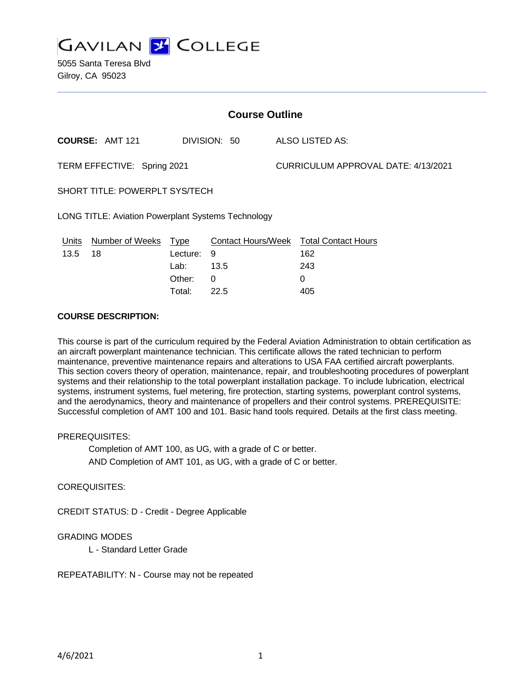

5055 Santa Teresa Blvd Gilroy, CA 95023

| <b>Course Outline</b>                                     |                        |             |              |                           |                                     |  |
|-----------------------------------------------------------|------------------------|-------------|--------------|---------------------------|-------------------------------------|--|
|                                                           | <b>COURSE: AMT 121</b> |             | DIVISION: 50 |                           | ALSO LISTED AS:                     |  |
| TERM EFFECTIVE: Spring 2021                               |                        |             |              |                           | CURRICULUM APPROVAL DATE: 4/13/2021 |  |
| <b>SHORT TITLE: POWERPLT SYS/TECH</b>                     |                        |             |              |                           |                                     |  |
| <b>LONG TITLE: Aviation Powerplant Systems Technology</b> |                        |             |              |                           |                                     |  |
| Units                                                     | <b>Number of Weeks</b> | <b>Type</b> |              | <b>Contact Hours/Week</b> | <b>Total Contact Hours</b>          |  |
| 13.5                                                      | 18                     | Lecture:    | 9            |                           | 162                                 |  |
|                                                           |                        | Lab:        | 13.5         |                           | 243                                 |  |
|                                                           |                        | Other:      | 0            |                           | 0                                   |  |

Total: 22.5 405

# **COURSE DESCRIPTION:**

This course is part of the curriculum required by the Federal Aviation Administration to obtain certification as an aircraft powerplant maintenance technician. This certificate allows the rated technician to perform maintenance, preventive maintenance repairs and alterations to USA FAA certified aircraft powerplants. This section covers theory of operation, maintenance, repair, and troubleshooting procedures of powerplant systems and their relationship to the total powerplant installation package. To include lubrication, electrical systems, instrument systems, fuel metering, fire protection, starting systems, powerplant control systems, and the aerodynamics, theory and maintenance of propellers and their control systems. PREREQUISITE: Successful completion of AMT 100 and 101. Basic hand tools required. Details at the first class meeting.

#### PREREQUISITES:

Completion of AMT 100, as UG, with a grade of C or better. AND Completion of AMT 101, as UG, with a grade of C or better.

### COREQUISITES:

CREDIT STATUS: D - Credit - Degree Applicable

## GRADING MODES

L - Standard Letter Grade

REPEATABILITY: N - Course may not be repeated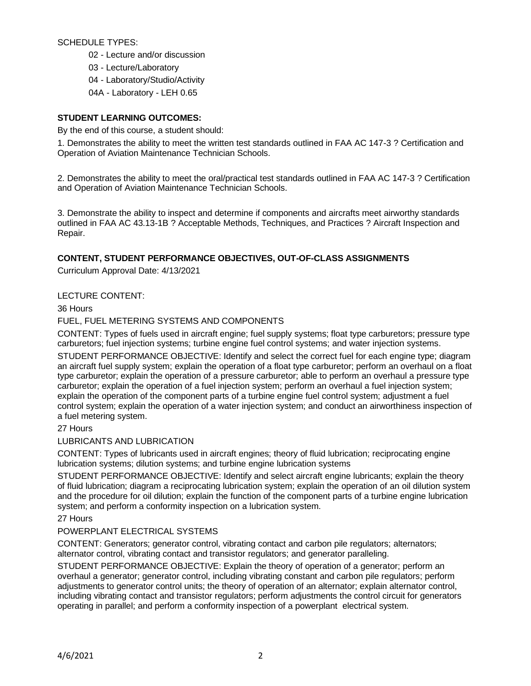## SCHEDULE TYPES:

- 02 Lecture and/or discussion
- 03 Lecture/Laboratory
- 04 Laboratory/Studio/Activity
- 04A Laboratory LEH 0.65

# **STUDENT LEARNING OUTCOMES:**

By the end of this course, a student should:

1. Demonstrates the ability to meet the written test standards outlined in FAA AC 147-3 ? Certification and Operation of Aviation Maintenance Technician Schools.

2. Demonstrates the ability to meet the oral/practical test standards outlined in FAA AC 147-3 ? Certification and Operation of Aviation Maintenance Technician Schools.

3. Demonstrate the ability to inspect and determine if components and aircrafts meet airworthy standards outlined in FAA AC 43.13-1B ? Acceptable Methods, Techniques, and Practices ? Aircraft Inspection and Repair.

# **CONTENT, STUDENT PERFORMANCE OBJECTIVES, OUT-OF-CLASS ASSIGNMENTS**

Curriculum Approval Date: 4/13/2021

# LECTURE CONTENT:

36 Hours

# FUEL, FUEL METERING SYSTEMS AND COMPONENTS

CONTENT: Types of fuels used in aircraft engine; fuel supply systems; float type carburetors; pressure type carburetors; fuel injection systems; turbine engine fuel control systems; and water injection systems.

STUDENT PERFORMANCE OBJECTIVE: Identify and select the correct fuel for each engine type; diagram an aircraft fuel supply system; explain the operation of a float type carburetor; perform an overhaul on a float type carburetor; explain the operation of a pressure carburetor; able to perform an overhaul a pressure type carburetor; explain the operation of a fuel injection system; perform an overhaul a fuel injection system; explain the operation of the component parts of a turbine engine fuel control system; adjustment a fuel control system; explain the operation of a water injection system; and conduct an airworthiness inspection of a fuel metering system.

27 Hours

LUBRICANTS AND LUBRICATION

CONTENT: Types of lubricants used in aircraft engines; theory of fluid lubrication; reciprocating engine lubrication systems; dilution systems; and turbine engine lubrication systems

STUDENT PERFORMANCE OBJECTIVE: Identify and select aircraft engine lubricants; explain the theory of fluid lubrication; diagram a reciprocating lubrication system; explain the operation of an oil dilution system and the procedure for oil dilution; explain the function of the component parts of a turbine engine lubrication system; and perform a conformity inspection on a lubrication system.

27 Hours

# POWERPLANT ELECTRICAL SYSTEMS

CONTENT: Generators; generator control, vibrating contact and carbon pile regulators; alternators; alternator control, vibrating contact and transistor regulators; and generator paralleling.

STUDENT PERFORMANCE OBJECTIVE: Explain the theory of operation of a generator; perform an overhaul a generator; generator control, including vibrating constant and carbon pile regulators; perform adjustments to generator control units; the theory of operation of an alternator; explain alternator control, including vibrating contact and transistor regulators; perform adjustments the control circuit for generators operating in parallel; and perform a conformity inspection of a powerplant electrical system.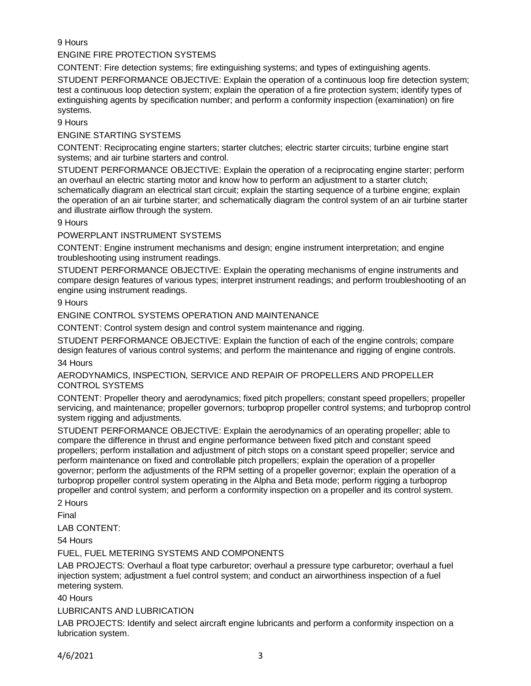# 9 Hours

# ENGINE FIRE PROTECTION SYSTEMS

CONTENT: Fire detection systems; fire extinguishing systems; and types of extinguishing agents.

STUDENT PERFORMANCE OBJECTIVE: Explain the operation of a continuous loop fire detection system; test a continuous loop detection system; explain the operation of a fire protection system; identify types of extinguishing agents by specification number; and perform a conformity inspection (examination) on fire systems.

9 Hours

### ENGINE STARTING SYSTEMS

CONTENT: Reciprocating engine starters; starter clutches; electric starter circuits; turbine engine start systems; and air turbine starters and control.

STUDENT PERFORMANCE OBJECTIVE: Explain the operation of a reciprocating engine starter; perform an overhaul an electric starting motor and know how to perform an adjustment to a starter clutch; schematically diagram an electrical start circuit; explain the starting sequence of a turbine engine; explain the operation of an air turbine starter; and schematically diagram the control system of an air turbine starter and illustrate airflow through the system.

9 Hours

## POWERPLANT INSTRUMENT SYSTEMS

CONTENT: Engine instrument mechanisms and design; engine instrument interpretation; and engine troubleshooting using instrument readings.

STUDENT PERFORMANCE OBJECTIVE: Explain the operating mechanisms of engine instruments and compare design features of various types; interpret instrument readings; and perform troubleshooting of an engine using instrument readings.

### 9 Hours

### ENGINE CONTROL SYSTEMS OPERATION AND MAINTENANCE

CONTENT: Control system design and control system maintenance and rigging.

STUDENT PERFORMANCE OBJECTIVE: Explain the function of each of the engine controls; compare design features of various control systems; and perform the maintenance and rigging of engine controls.

34 Hours

AERODYNAMICS, INSPECTION, SERVICE AND REPAIR OF PROPELLERS AND PROPELLER CONTROL SYSTEMS

CONTENT: Propeller theory and aerodynamics; fixed pitch propellers; constant speed propellers; propeller servicing, and maintenance; propeller governors; turboprop propeller control systems; and turboprop control system rigging and adjustments.

STUDENT PERFORMANCE OBJECTIVE: Explain the aerodynamics of an operating propeller; able to compare the difference in thrust and engine performance between fixed pitch and constant speed propellers; perform installation and adjustment of pitch stops on a constant speed propeller; service and perform maintenance on fixed and controllable pitch propellers; explain the operation of a propeller governor; perform the adjustments of the RPM setting of a propeller governor; explain the operation of a turboprop propeller control system operating in the Alpha and Beta mode; perform rigging a turboprop propeller and control system; and perform a conformity inspection on a propeller and its control system. 2 Hours

Final

## LAB CONTENT:

54 Hours

## FUEL, FUEL METERING SYSTEMS AND COMPONENTS

LAB PROJECTS: Overhaul a float type carburetor; overhaul a pressure type carburetor; overhaul a fuel injection system; adjustment a fuel control system; and conduct an airworthiness inspection of a fuel metering system.

40 Hours

## LUBRICANTS AND LUBRICATION

LAB PROJECTS: Identify and select aircraft engine lubricants and perform a conformity inspection on a lubrication system.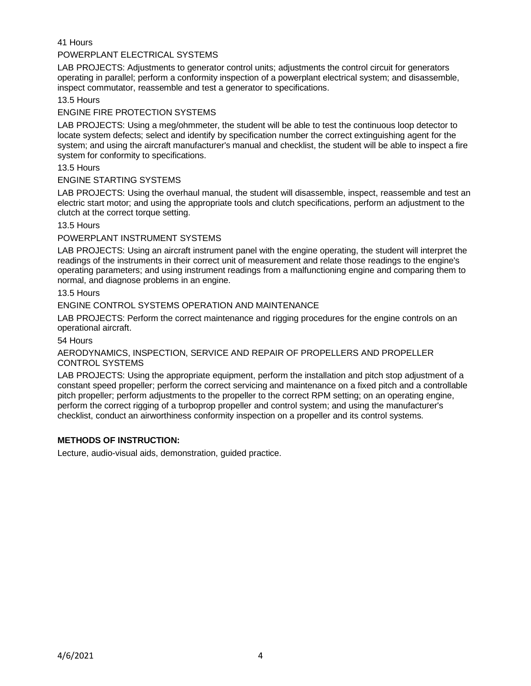41 Hours

# POWERPLANT ELECTRICAL SYSTEMS

LAB PROJECTS: Adjustments to generator control units; adjustments the control circuit for generators operating in parallel; perform a conformity inspection of a powerplant electrical system; and disassemble, inspect commutator, reassemble and test a generator to specifications.

13.5 Hours

### ENGINE FIRE PROTECTION SYSTEMS

LAB PROJECTS: Using a meg/ohmmeter, the student will be able to test the continuous loop detector to locate system defects; select and identify by specification number the correct extinguishing agent for the system; and using the aircraft manufacturer's manual and checklist, the student will be able to inspect a fire system for conformity to specifications.

### 13.5 Hours

### ENGINE STARTING SYSTEMS

LAB PROJECTS: Using the overhaul manual, the student will disassemble, inspect, reassemble and test an electric start motor; and using the appropriate tools and clutch specifications, perform an adjustment to the clutch at the correct torque setting.

### 13.5 Hours

## POWERPLANT INSTRUMENT SYSTEMS

LAB PROJECTS: Using an aircraft instrument panel with the engine operating, the student will interpret the readings of the instruments in their correct unit of measurement and relate those readings to the engine's operating parameters; and using instrument readings from a malfunctioning engine and comparing them to normal, and diagnose problems in an engine.

### 13.5 Hours

## ENGINE CONTROL SYSTEMS OPERATION AND MAINTENANCE

LAB PROJECTS: Perform the correct maintenance and rigging procedures for the engine controls on an operational aircraft.

54 Hours

AERODYNAMICS, INSPECTION, SERVICE AND REPAIR OF PROPELLERS AND PROPELLER CONTROL SYSTEMS

LAB PROJECTS: Using the appropriate equipment, perform the installation and pitch stop adjustment of a constant speed propeller; perform the correct servicing and maintenance on a fixed pitch and a controllable pitch propeller; perform adjustments to the propeller to the correct RPM setting; on an operating engine, perform the correct rigging of a turboprop propeller and control system; and using the manufacturer's checklist, conduct an airworthiness conformity inspection on a propeller and its control systems.

## **METHODS OF INSTRUCTION:**

Lecture, audio-visual aids, demonstration, guided practice.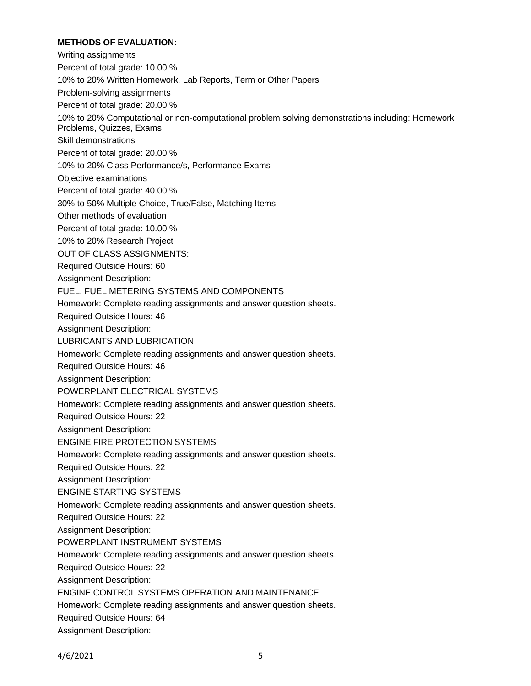## **METHODS OF EVALUATION:**

Writing assignments Percent of total grade: 10.00 % 10% to 20% Written Homework, Lab Reports, Term or Other Papers Problem-solving assignments Percent of total grade: 20.00 % 10% to 20% Computational or non-computational problem solving demonstrations including: Homework Problems, Quizzes, Exams Skill demonstrations Percent of total grade: 20.00 % 10% to 20% Class Performance/s, Performance Exams Objective examinations Percent of total grade: 40.00 % 30% to 50% Multiple Choice, True/False, Matching Items Other methods of evaluation Percent of total grade: 10.00 % 10% to 20% Research Project OUT OF CLASS ASSIGNMENTS: Required Outside Hours: 60 Assignment Description: FUEL, FUEL METERING SYSTEMS AND COMPONENTS Homework: Complete reading assignments and answer question sheets. Required Outside Hours: 46 Assignment Description: LUBRICANTS AND LUBRICATION Homework: Complete reading assignments and answer question sheets. Required Outside Hours: 46 Assignment Description: POWERPLANT ELECTRICAL SYSTEMS Homework: Complete reading assignments and answer question sheets. Required Outside Hours: 22 Assignment Description: ENGINE FIRE PROTECTION SYSTEMS Homework: Complete reading assignments and answer question sheets. Required Outside Hours: 22 Assignment Description: ENGINE STARTING SYSTEMS Homework: Complete reading assignments and answer question sheets. Required Outside Hours: 22 Assignment Description: POWERPLANT INSTRUMENT SYSTEMS Homework: Complete reading assignments and answer question sheets. Required Outside Hours: 22 Assignment Description: ENGINE CONTROL SYSTEMS OPERATION AND MAINTENANCE Homework: Complete reading assignments and answer question sheets. Required Outside Hours: 64 Assignment Description: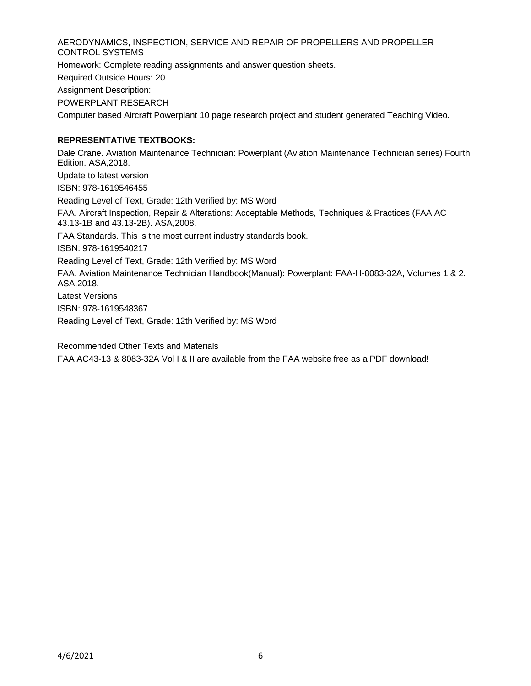AERODYNAMICS, INSPECTION, SERVICE AND REPAIR OF PROPELLERS AND PROPELLER CONTROL SYSTEMS Homework: Complete reading assignments and answer question sheets. Required Outside Hours: 20 Assignment Description:

POWERPLANT RESEARCH

Computer based Aircraft Powerplant 10 page research project and student generated Teaching Video.

# **REPRESENTATIVE TEXTBOOKS:**

Dale Crane. Aviation Maintenance Technician: Powerplant (Aviation Maintenance Technician series) Fourth Edition. ASA,2018. Update to latest version ISBN: 978-1619546455 Reading Level of Text, Grade: 12th Verified by: MS Word FAA. Aircraft Inspection, Repair & Alterations: Acceptable Methods, Techniques & Practices (FAA AC 43.13-1B and 43.13-2B). ASA,2008. FAA Standards. This is the most current industry standards book. ISBN: 978-1619540217 Reading Level of Text, Grade: 12th Verified by: MS Word FAA. Aviation Maintenance Technician Handbook(Manual): Powerplant: FAA-H-8083-32A, Volumes 1 & 2. ASA,2018. Latest Versions ISBN: 978-1619548367 Reading Level of Text, Grade: 12th Verified by: MS Word

Recommended Other Texts and Materials

FAA AC43-13 & 8083-32A Vol I & II are available from the FAA website free as a PDF download!